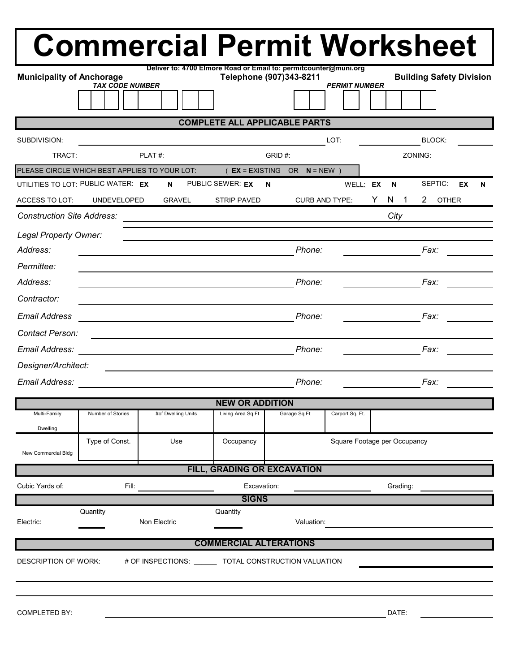|                                                                               |                        | <b>Commercial Permit Worksheet</b>                               |                               |                             |                      |                                     |                                 |   |  |  |
|-------------------------------------------------------------------------------|------------------------|------------------------------------------------------------------|-------------------------------|-----------------------------|----------------------|-------------------------------------|---------------------------------|---|--|--|
| <b>Municipality of Anchorage</b>                                              | <b>TAX CODE NUMBER</b> | Deliver to: 4700 Elmore Road or Email to: permitcounter@muni.org |                               | Telephone (907)343-8211     | <b>PERMIT NUMBER</b> |                                     | <b>Building Safety Division</b> |   |  |  |
|                                                                               |                        |                                                                  |                               |                             |                      |                                     |                                 |   |  |  |
| <b>COMPLETE ALL APPLICABLE PARTS</b>                                          |                        |                                                                  |                               |                             |                      |                                     |                                 |   |  |  |
| SUBDIVISION:                                                                  |                        |                                                                  |                               |                             | LOT:                 |                                     | BLOCK:                          |   |  |  |
| TRACT:                                                                        |                        | PLAT#:                                                           |                               | GRID#:                      |                      | ZONING:                             |                                 |   |  |  |
| PLEASE CIRCLE WHICH BEST APPLIES TO YOUR LOT:                                 |                        |                                                                  | $(EX = EXISTING$              | OR $N = NEW$ )              |                      |                                     |                                 |   |  |  |
| UTILITIES TO LOT: PUBLIC WATER: EX                                            |                        | N                                                                | PUBLIC SEWER: EX              | N                           | WELL: EX             | N                                   | SEPTIC:<br>EX                   | N |  |  |
| <b>ACCESS TO LOT:</b>                                                         | <b>UNDEVELOPED</b>     | GRAVEL                                                           | <b>STRIP PAVED</b>            | <b>CURB AND TYPE:</b>       |                      | N<br>Y.<br>$\overline{\phantom{1}}$ | $\mathbf{2}$<br><b>OTHER</b>    |   |  |  |
| <b>Construction Site Address:</b>                                             |                        |                                                                  |                               |                             |                      | City                                |                                 |   |  |  |
| Legal Property Owner:                                                         |                        |                                                                  |                               |                             |                      |                                     |                                 |   |  |  |
| Address:                                                                      |                        |                                                                  |                               | Phone:                      |                      |                                     | Fax:                            |   |  |  |
| Permittee:                                                                    |                        |                                                                  |                               |                             |                      |                                     |                                 |   |  |  |
| Address:                                                                      |                        |                                                                  |                               | Phone:                      |                      |                                     | Fax:                            |   |  |  |
| Contractor:                                                                   |                        |                                                                  |                               |                             |                      |                                     |                                 |   |  |  |
| <b>Email Address</b>                                                          |                        |                                                                  |                               | Phone:                      |                      |                                     | Fax:                            |   |  |  |
| Contact Person:                                                               |                        |                                                                  |                               |                             |                      |                                     |                                 |   |  |  |
| Email Address:                                                                |                        |                                                                  |                               | Phone:                      |                      |                                     | Fax:                            |   |  |  |
| Designer/Architect:                                                           |                        |                                                                  |                               |                             |                      |                                     |                                 |   |  |  |
| Email Address:                                                                |                        |                                                                  |                               | Phone:                      |                      |                                     | Fax:                            |   |  |  |
| <b>NEW OR ADDITION</b>                                                        |                        |                                                                  |                               |                             |                      |                                     |                                 |   |  |  |
| Multi-Family                                                                  | Number of Stories      | #of Dwelling Units                                               | Living Area Sq Ft             | Garage Sq Ft                | Carport Sq. Ft.      |                                     |                                 |   |  |  |
| Dwelling                                                                      |                        |                                                                  |                               |                             |                      |                                     |                                 |   |  |  |
| New Commercial Bldg                                                           | Type of Const.         | Use                                                              | Occupancy                     |                             |                      | Square Footage per Occupancy        |                                 |   |  |  |
|                                                                               |                        |                                                                  |                               | FILL, GRADING OR EXCAVATION |                      |                                     |                                 |   |  |  |
| Cubic Yards of:                                                               | Fill:                  |                                                                  | Excavation:                   |                             |                      | Grading:                            |                                 |   |  |  |
|                                                                               | Quantity               |                                                                  | <b>SIGNS</b><br>Quantity      |                             |                      |                                     |                                 |   |  |  |
| Electric:                                                                     |                        | Non Electric                                                     |                               | Valuation:                  |                      |                                     |                                 |   |  |  |
|                                                                               |                        |                                                                  | <b>COMMERCIAL ALTERATIONS</b> |                             |                      |                                     |                                 |   |  |  |
| <b>DESCRIPTION OF WORK:</b><br># OF INSPECTIONS: TOTAL CONSTRUCTION VALUATION |                        |                                                                  |                               |                             |                      |                                     |                                 |   |  |  |
|                                                                               |                        |                                                                  |                               |                             |                      |                                     |                                 |   |  |  |
|                                                                               |                        |                                                                  |                               |                             |                      |                                     |                                 |   |  |  |
| <b>COMPLETED BY:</b>                                                          |                        |                                                                  |                               |                             |                      | DATE:                               |                                 |   |  |  |